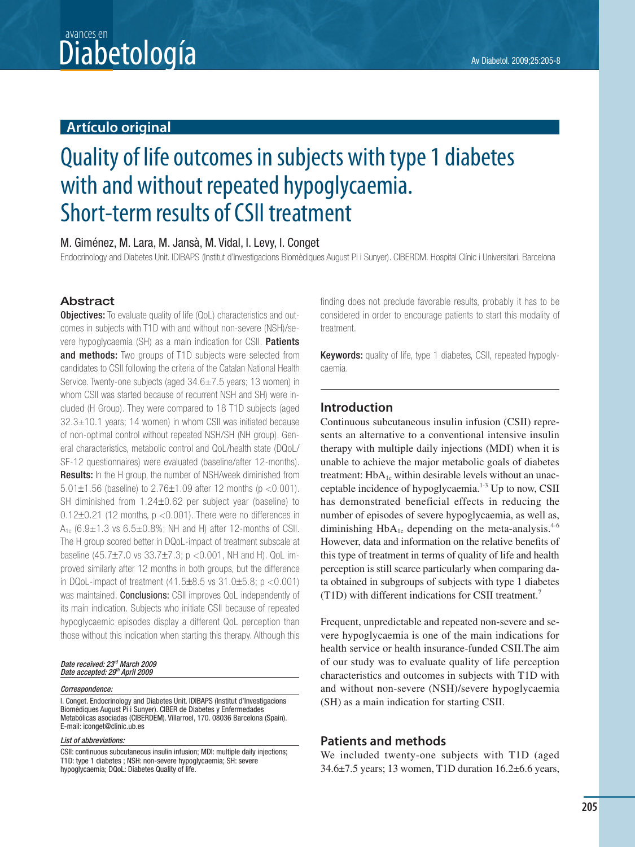## Diabetología Av Diabetol. 2009;25:205-8 avances en

## **Artículo original**

# Quality of life outcomes in subjects with type 1 diabetes with and without repeated hypoglycaemia. Short-term results of CSII treatment

## M. Giménez, M. Lara, M. Jansà, M. Vidal, I. Levy, I. Conget

Endocrinology and Diabetes Unit. IDIBAPS (Institut d'Investigacions Biomèdiques August Pi i Sunyer). CIBERDM. Hospital Clínic i Universitari. Barcelona

## **Abstract**

**Objectives:** To evaluate quality of life (QoL) characteristics and outcomes in subjects with T1D with and without non-severe (NSH)/severe hypoglycaemia (SH) as a main indication for CSII. Patients and methods: Two groups of T1D subjects were selected from candidates to CSII following the criteria of the Catalan National Health Service. Twenty-one subjects (aged 34.6±7.5 years; 13 women) in whom CSII was started because of recurrent NSH and SH) were included (H Group). They were compared to 18 T1D subjects (aged  $32.3 \pm 10.1$  years; 14 women) in whom CSII was initiated because of non-optimal control without repeated NSH/SH (NH group). General characteristics, metabolic control and QoL/health state (DQoL/ SF-12 questionnaires) were evaluated (baseline/after 12-months). Results: In the H group, the number of NSH/week diminished from 5.01±1.56 (baseline) to 2.76±1.09 after 12 months (p <0.001). SH diminished from 1.24±0.62 per subject year (baseline) to  $0.12\pm0.21$  (12 months,  $p < 0.001$ ). There were no differences in  $A_{1c}$  (6.9 $\pm$ 1.3 vs 6.5 $\pm$ 0.8%; NH and H) after 12-months of CSII. The H group scored better in DQoL-impact of treatment subscale at baseline  $(45.7 \pm 7.0 \text{ vs } 33.7 \pm 7.3; \text{ p} < 0.001$ , NH and H). QoL improved similarly after 12 months in both groups, but the difference in DQoL-impact of treatment (41.5±8.5 vs 31.0±5.8; p <0.001) was maintained. **Conclusions:** CSII improves QoL independently of its main indication. Subjects who initiate CSII because of repeated hypoglycaemic episodes display a different QoL perception than those without this indication when starting this therapy. Although this

#### Date received: 23<sup>rd</sup> March 2009 Date accepted: 29th April 2009

#### Correspondence:

I. Conget. Endocrinology and Diabetes Unit. IDIBAPS (Institut d'Investigacions Biomèdiques August Pi i Sunyer). CIBER de Diabetes y Enfermedades Metabólicas asociadas (CIBERDEM). Villarroel, 170. 08036 Barcelona (Spain). E-mail: iconget@clinic.ub.es

List of abbreviations:

CSII: continuous subcutaneous insulin infusion; MDI: multiple daily injections; T1D: type 1 diabetes ; NSH: non-severe hypoglycaemia; SH: severe hypoglycaemia; DQoL: Diabetes Quality of life.

finding does not preclude favorable results, probably it has to be considered in order to encourage patients to start this modality of treatment.

**Keywords:** quality of life, type 1 diabetes, CSII, repeated hypoglycaemia.

### **Introduction**

Continuous subcutaneous insulin infusion (CSII) represents an alternative to a conventional intensive insulin therapy with multiple daily injections (MDI) when it is unable to achieve the major metabolic goals of diabetes treatment:  $HbA_{1c}$  within desirable levels without an unacceptable incidence of hypoglycaemia.1-3 Up to now, CSII has demonstrated beneficial effects in reducing the number of episodes of severe hypoglycaemia, as well as, diminishing  $HbA_{1c}$  depending on the meta-analysis.<sup>4-6</sup> However, data and information on the relative benefits of this type of treatment in terms of quality of life and health perception is still scarce particularly when comparing data obtained in subgroups of subjects with type 1 diabetes (T1D) with different indications for CSII treatment.7

Frequent, unpredictable and repeated non-severe and severe hypoglycaemia is one of the main indications for health service or health insurance-funded CSII.The aim of our study was to evaluate quality of life perception characteristics and outcomes in subjects with T1D with and without non-severe (NSH)/severe hypoglycaemia (SH) as a main indication for starting CSII.

## **Patients and methods**

We included twenty-one subjects with T1D (aged 34.6±7.5 years; 13 women, T1D duration 16.2±6.6 years,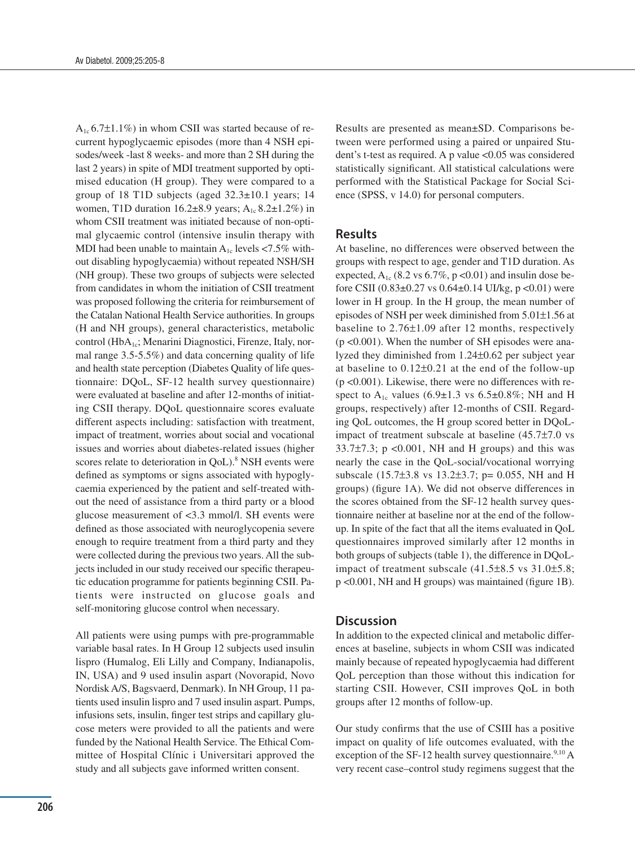$A_{1c}$  6.7 $\pm$ 1.1%) in whom CSII was started because of recurrent hypoglycaemic episodes (more than 4 NSH episodes/week -last 8 weeks- and more than 2 SH during the last 2 years) in spite of MDI treatment supported by optimised education (H group). They were compared to a group of 18 T1D subjects (aged 32.3±10.1 years; 14 women, T1D duration  $16.2\pm8.9$  years; A<sub>1c</sub> 8.2 $\pm1.2\%$ ) in whom CSII treatment was initiated because of non-optimal glycaemic control (intensive insulin therapy with MDI had been unable to maintain  $A_{1c}$  levels <7.5% without disabling hypoglycaemia) without repeated NSH/SH (NH group). These two groups of subjects were selected from candidates in whom the initiation of CSII treatment was proposed following the criteria for reimbursement of the Catalan National Health Service authorities. In groups (H and NH groups), general characteristics, metabolic control (HbA<sub>1c</sub>; Menarini Diagnostici, Firenze, Italy, normal range 3.5-5.5%) and data concerning quality of life and health state perception (Diabetes Quality of life questionnaire: DQoL, SF-12 health survey questionnaire) were evaluated at baseline and after 12-months of initiating CSII therapy. DQoL questionnaire scores evaluate different aspects including: satisfaction with treatment, impact of treatment, worries about social and vocational issues and worries about diabetes-related issues (higher scores relate to deterioration in QoL).<sup>8</sup> NSH events were defined as symptoms or signs associated with hypoglycaemia experienced by the patient and self-treated without the need of assistance from a third party or a blood glucose measurement of <3.3 mmol/l. SH events were defined as those associated with neuroglycopenia severe enough to require treatment from a third party and they were collected during the previous two years. All the subjects included in our study received our specific therapeutic education programme for patients beginning CSII. Patients were instructed on glucose goals and self-monitoring glucose control when necessary.

All patients were using pumps with pre-programmable variable basal rates. In H Group 12 subjects used insulin lispro (Humalog, Eli Lilly and Company, Indianapolis, IN, USA) and 9 used insulin aspart (Novorapid, Novo Nordisk A/S, Bagsvaerd, Denmark). In NH Group, 11 patients used insulin lispro and 7 used insulin aspart. Pumps, infusions sets, insulin, finger test strips and capillary glucose meters were provided to all the patients and were funded by the National Health Service. The Ethical Committee of Hospital Clínic i Universitari approved the study and all subjects gave informed written consent.

Results are presented as mean±SD. Comparisons between were performed using a paired or unpaired Student's t-test as required. A p value <0.05 was considered statistically significant. All statistical calculations were performed with the Statistical Package for Social Science (SPSS, v 14.0) for personal computers.

#### **Results**

At baseline, no differences were observed between the groups with respect to age, gender and T1D duration. As expected,  $A_{1c}$  (8.2 vs 6.7%, p <0.01) and insulin dose before CSII (0.83±0.27 vs 0.64±0.14 UI/kg, p <0.01) were lower in H group. In the H group, the mean number of episodes of NSH per week diminished from 5.01±1.56 at baseline to 2.76±1.09 after 12 months, respectively (p <0.001). When the number of SH episodes were analyzed they diminished from 1.24±0.62 per subject year at baseline to 0.12±0.21 at the end of the follow-up (p <0.001). Likewise, there were no differences with respect to  $A_{1c}$  values (6.9±1.3 vs 6.5±0.8%; NH and H groups, respectively) after 12-months of CSII. Regarding QoL outcomes, the H group scored better in DQoLimpact of treatment subscale at baseline (45.7±7.0 vs  $33.7\pm7.3$ ; p <0.001, NH and H groups) and this was nearly the case in the QoL-social/vocational worrying subscale (15.7±3.8 vs 13.2±3.7; p= 0.055, NH and H groups) (figure 1A). We did not observe differences in the scores obtained from the SF-12 health survey questionnaire neither at baseline nor at the end of the followup. In spite of the fact that all the items evaluated in QoL questionnaires improved similarly after 12 months in both groups of subjects (table 1), the difference in DQoLimpact of treatment subscale (41.5±8.5 vs 31.0±5.8;  $p$  <0.001, NH and H groups) was maintained (figure 1B).

#### **Discussion**

In addition to the expected clinical and metabolic differences at baseline, subjects in whom CSII was indicated mainly because of repeated hypoglycaemia had different QoL perception than those without this indication for starting CSII. However, CSII improves QoL in both groups after 12 months of follow-up.

Our study confirms that the use of CSIII has a positive impact on quality of life outcomes evaluated, with the exception of the SF-12 health survey questionnaire.<sup>9,10</sup> A very recent case–control study regimens suggest that the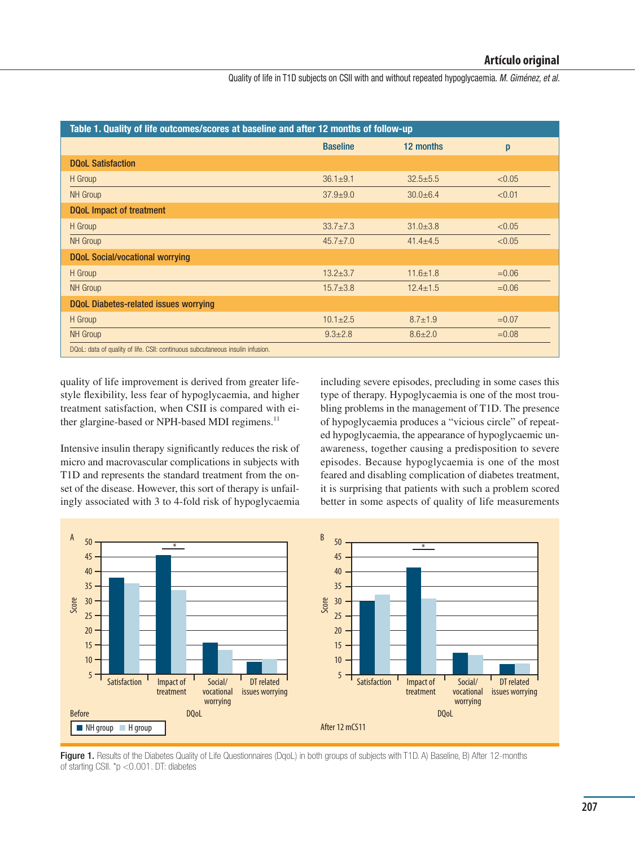Quality of life in T1D subjects on CSII with and without repeated hypoglycaemia. M. Giménez, et al.

| Table 1. Quality of life outcomes/scores at baseline and after 12 months of follow-up |                 |                |         |
|---------------------------------------------------------------------------------------|-----------------|----------------|---------|
|                                                                                       | <b>Baseline</b> | 12 months      | p       |
| <b>DOoL Satisfaction</b>                                                              |                 |                |         |
| H Group                                                                               | $36.1 \pm 9.1$  | $32.5 + 5.5$   | < 0.05  |
| <b>NH</b> Group                                                                       | $37.9 + 9.0$    | $30.0 + 6.4$   | < 0.01  |
| <b>DQoL Impact of treatment</b>                                                       |                 |                |         |
| H Group                                                                               | $33.7 \pm 7.3$  | $31.0 \pm 3.8$ | < 0.05  |
| <b>NH</b> Group                                                                       | $45.7 \pm 7.0$  | $41.4 + 4.5$   | < 0.05  |
| DQoL Social/vocational worrying                                                       |                 |                |         |
| H Group                                                                               | $13.2 + 3.7$    | $11.6 \pm 1.8$ | $=0.06$ |
| <b>NH</b> Group                                                                       | $15.7 \pm 3.8$  | $12.4 \pm 1.5$ | $=0.06$ |
| <b>DQoL Diabetes-related issues worrying</b>                                          |                 |                |         |
| H Group                                                                               | $10.1 \pm 2.5$  | $8.7 \pm 1.9$  | $=0.07$ |
| <b>NH</b> Group                                                                       | $9.3 \pm 2.8$   | $8.6 \pm 2.0$  | $=0.08$ |
| DQoL: data of quality of life. CSII: continuous subcutaneous insulin infusion.        |                 |                |         |

quality of life improvement is derived from greater lifestyle ßexibility, less fear of hypoglycaemia, and higher treatment satisfaction, when CSII is compared with either glargine-based or NPH-based MDI regimens.<sup>11</sup>

Intensive insulin therapy significantly reduces the risk of micro and macrovascular complications in subjects with T1D and represents the standard treatment from the onset of the disease. However, this sort of therapy is unfailingly associated with 3 to 4-fold risk of hypoglycaemia including severe episodes, precluding in some cases this type of therapy. Hypoglycaemia is one of the most troubling problems in the management of T1D. The presence of hypoglycaemia produces a "vicious circle" of repeated hypoglycaemia, the appearance of hypoglycaemic unawareness, together causing a predisposition to severe episodes. Because hypoglycaemia is one of the most feared and disabling complication of diabetes treatment, it is surprising that patients with such a problem scored better in some aspects of quality of life measurements



Figure 1. Results of the Diabetes Quality of Life Questionnaires (DqoL) in both groups of subjects with T1D. A) Baseline, B) After 12-months of starting CSII. \*p <0.001. DT: diabetes